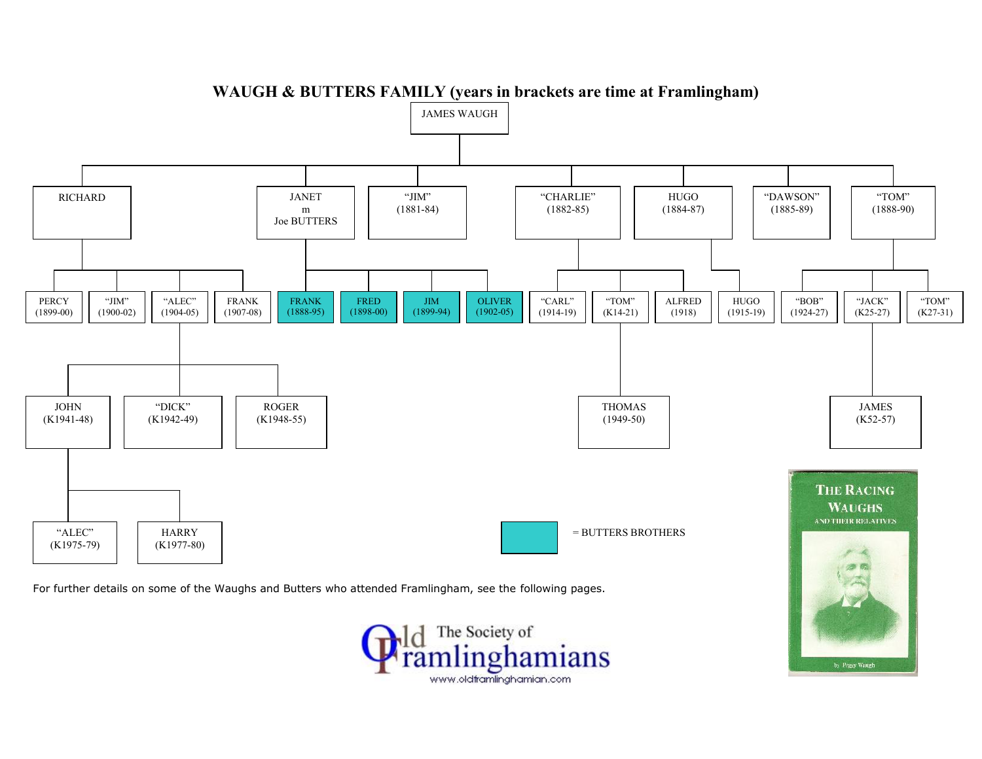

**WAUGH & BUTTERS FAMILY (years in brackets are time at Framlingham)**

The Society of imlinghamians www.oldframlinghamian.com

by Peggy Waugh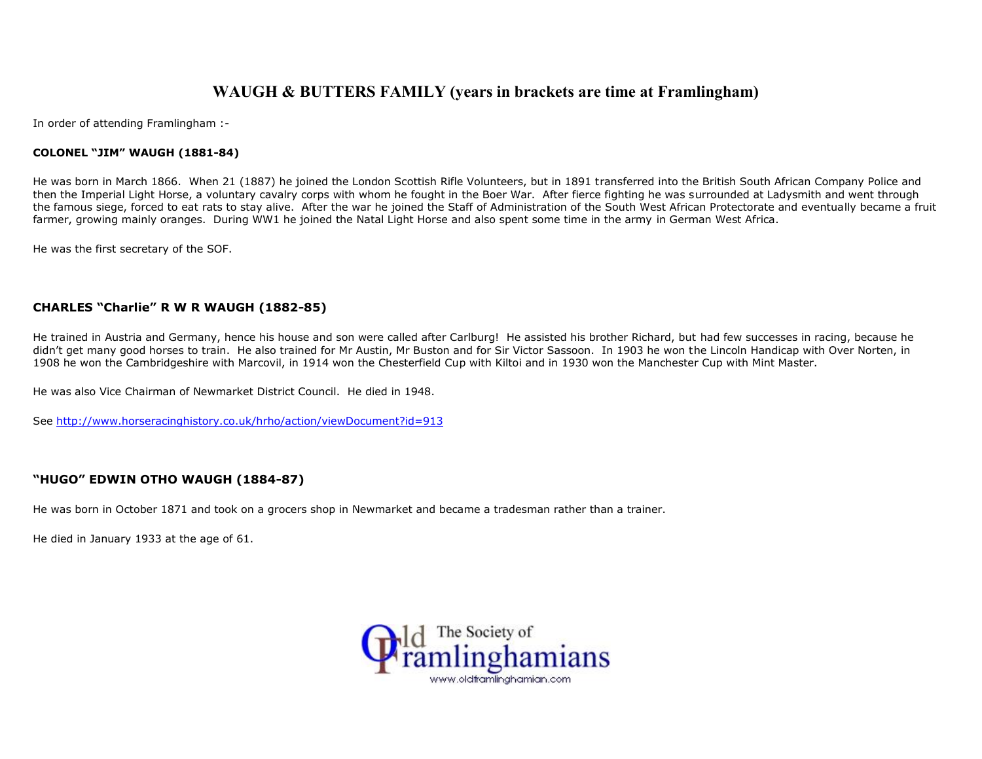# **WAUGH & BUTTERS FAMILY (years in brackets are time at Framlingham)**

In order of attending Framlingham :-

## **COLONEL "JIM" WAUGH (1881-84)**

He was born in March 1866. When 21 (1887) he joined the London Scottish Rifle Volunteers, but in 1891 transferred into the British South African Company Police and then the Imperial Light Horse, a voluntary cavalry corps with whom he fought in the Boer War. After fierce fighting he was surrounded at Ladysmith and went through the famous siege, forced to eat rats to stay alive. After the war he joined the Staff of Administration of the South West African Protectorate and eventually became a fruit farmer, growing mainly oranges. During WW1 he joined the Natal Light Horse and also spent some time in the army in German West Africa.

He was the first secretary of the SOF.

# **CHARLES "Charlie" R W R WAUGH (1882-85)**

He trained in Austria and Germany, hence his house and son were called after Carlburg! He assisted his brother Richard, but had few successes in racing, because he didn't get many good horses to train. He also trained for Mr Austin, Mr Buston and for Sir Victor Sassoon. In 1903 he won the Lincoln Handicap with Over Norten, in 1908 he won the Cambridgeshire with Marcovil, in 1914 won the Chesterfield Cup with Kiltoi and in 1930 won the Manchester Cup with Mint Master.

He was also Vice Chairman of Newmarket District Council. He died in 1948.

See http://www.horseracinghistory.co.uk/hrho/action/viewDocument?id=913

# **"HUGO" EDWIN OTHO WAUGH (1884-87)**

He was born in October 1871 and took on a grocers shop in Newmarket and became a tradesman rather than a trainer.

He died in January 1933 at the age of 61.

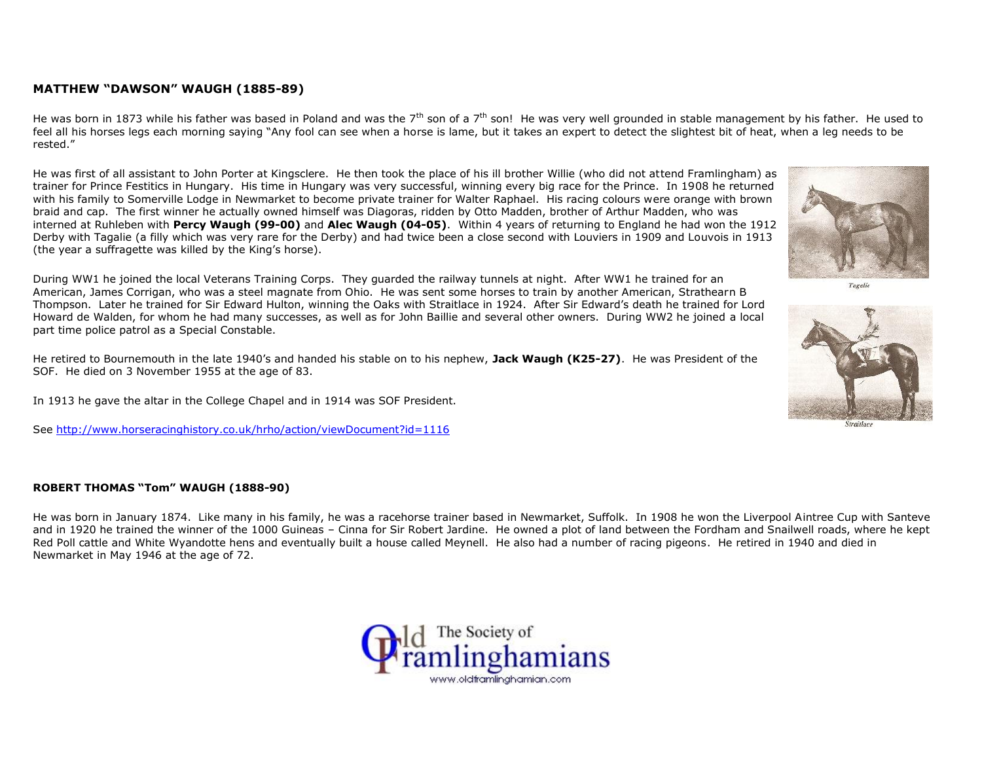# **MATTHEW "DAWSON" WAUGH (1885-89)**

He was born in 1873 while his father was based in Poland and was the  $7<sup>th</sup>$  son of a  $7<sup>th</sup>$  son! He was very well grounded in stable management by his father. He used to feel all his horses legs each morning saying "Any fool can see when a horse is lame, but it takes an expert to detect the slightest bit of heat, when a leg needs to be rested."

He was first of all assistant to John Porter at Kingsclere. He then took the place of his ill brother Willie (who did not attend Framlingham) as trainer for Prince Festitics in Hungary. His time in Hungary was very successful, winning every big race for the Prince. In 1908 he returned with his family to Somerville Lodge in Newmarket to become private trainer for Walter Raphael. His racing colours were orange with brown braid and cap. The first winner he actually owned himself was Diagoras, ridden by Otto Madden, brother of Arthur Madden, who was interned at Ruhleben with **Percy Waugh (99-00)** and **Alec Waugh (04-05)**. Within 4 years of returning to England he had won the 1912 Derby with Tagalie (a filly which was very rare for the Derby) and had twice been a close second with Louviers in 1909 and Louvois in 1913 (the year a suffragette was killed by the King's horse).



He retired to Bournemouth in the late 1940's and handed his stable on to his nephew, **Jack Waugh (K25-27)**. He was President of the SOF. He died on 3 November 1955 at the age of 83.

In 1913 he gave the altar in the College Chapel and in 1914 was SOF President.

See http://www.horseracinghistory.co.uk/hrho/action/viewDocument?id=1116

## **ROBERT THOMAS "Tom" WAUGH (1888-90)**

He was born in January 1874. Like many in his family, he was a racehorse trainer based in Newmarket, Suffolk. In 1908 he won the Liverpool Aintree Cup with Santeve and in 1920 he trained the winner of the 1000 Guineas – Cinna for Sir Robert Jardine. He owned a plot of land between the Fordham and Snailwell roads, where he kept Red Poll cattle and White Wyandotte hens and eventually built a house called Meynell. He also had a number of racing pigeons. He retired in 1940 and died in Newmarket in May 1946 at the age of 72.





Tagalie

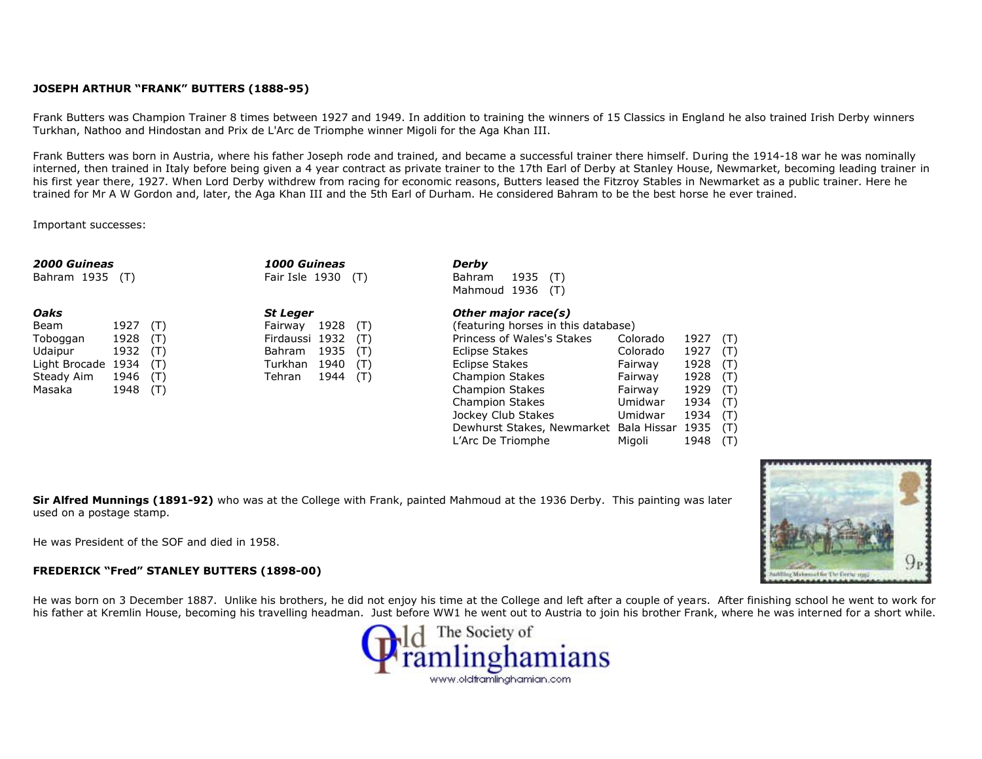## **JOSEPH ARTHUR "FRANK" BUTTERS (1888-95)**

Frank Butters was Champion Trainer 8 times between 1927 and 1949. In addition to training the winners of 15 Classics in England he also trained Irish Derby winners Turkhan, Nathoo and Hindostan and Prix de L'Arc de Triomphe winner Migoli for the Aga Khan III.

Frank Butters was born in Austria, where his father Joseph rode and trained, and became a successful trainer there himself. During the 1914-18 war he was nominally interned, then trained in Italy before being given a 4 year contract as private trainer to the 17th Earl of Derby at Stanley House, Newmarket, becoming leading trainer in his first year there, 1927. When Lord Derby withdrew from racing for economic reasons, Butters leased the Fitzroy Stables in Newmarket as a public trainer. Here he trained for Mr A W Gordon and, later, the Aga Khan III and the 5th Earl of Durham. He considered Bahram to be the best horse he ever trained.

Important successes:

| <b>2000 Guineas</b><br>Bahram 1935<br>(T) |      |     | 1000 Guineas<br>Fair Isle 1930 (T) |      |     | Derby<br>1935<br><b>Bahram</b><br>(T)  |          |      |     |  |
|-------------------------------------------|------|-----|------------------------------------|------|-----|----------------------------------------|----------|------|-----|--|
|                                           |      |     |                                    |      |     | Mahmoud 1936<br>(T)                    |          |      |     |  |
| Oaks                                      |      |     | <b>St Leger</b>                    |      |     | Other major race(s)                    |          |      |     |  |
| Beam                                      | 1927 | (T) | Fairway                            | 1928 | (T) | (featuring horses in this database)    |          |      |     |  |
| Toboggan                                  | 1928 | (T) | Firdaussi 1932                     |      | (T) | Princess of Wales's Stakes             | Colorado | 1927 | (T) |  |
| Udaipur                                   | 1932 | (T) | Bahram                             | 1935 | (T) | Eclipse Stakes                         | Colorado | 1927 | (T) |  |
| Light Brocade                             | 1934 | (T) | Turkhan                            | 1940 | (T) | Eclipse Stakes                         | Fairway  | 1928 | (T) |  |
| Steady Aim                                | 1946 | (T) | Tehran                             | 1944 | (T) | <b>Champion Stakes</b>                 | Fairway  | 1928 | (T) |  |
| Masaka                                    | 1948 | (T) |                                    |      |     | <b>Champion Stakes</b>                 | Fairway  | 1929 | (T) |  |
|                                           |      |     |                                    |      |     | <b>Champion Stakes</b>                 | Umidwar  | 1934 | (T) |  |
|                                           |      |     |                                    |      |     | Jockey Club Stakes                     | Umidwar  | 1934 | (T) |  |
|                                           |      |     |                                    |      |     | Dewhurst Stakes, Newmarket Bala Hissar |          | 1935 | (T) |  |
|                                           |      |     |                                    |      |     | L'Arc De Triomphe                      | Miaoli   | 1948 | (T) |  |

**Sir Alfred Munnings (1891-92)** who was at the College with Frank, painted Mahmoud at the 1936 Derby. This painting was later used on a postage stamp.

He was President of the SOF and died in 1958.

## **FREDERICK "Fred" STANLEY BUTTERS (1898-00)**

He was born on 3 December 1887. Unlike his brothers, he did not enjoy his time at the College and left after a couple of years. After finishing school he went to work for his father at Kremlin House, becoming his travelling headman. Just before WW1 he went out to Austria to join his brother Frank, where he was interned for a short while.



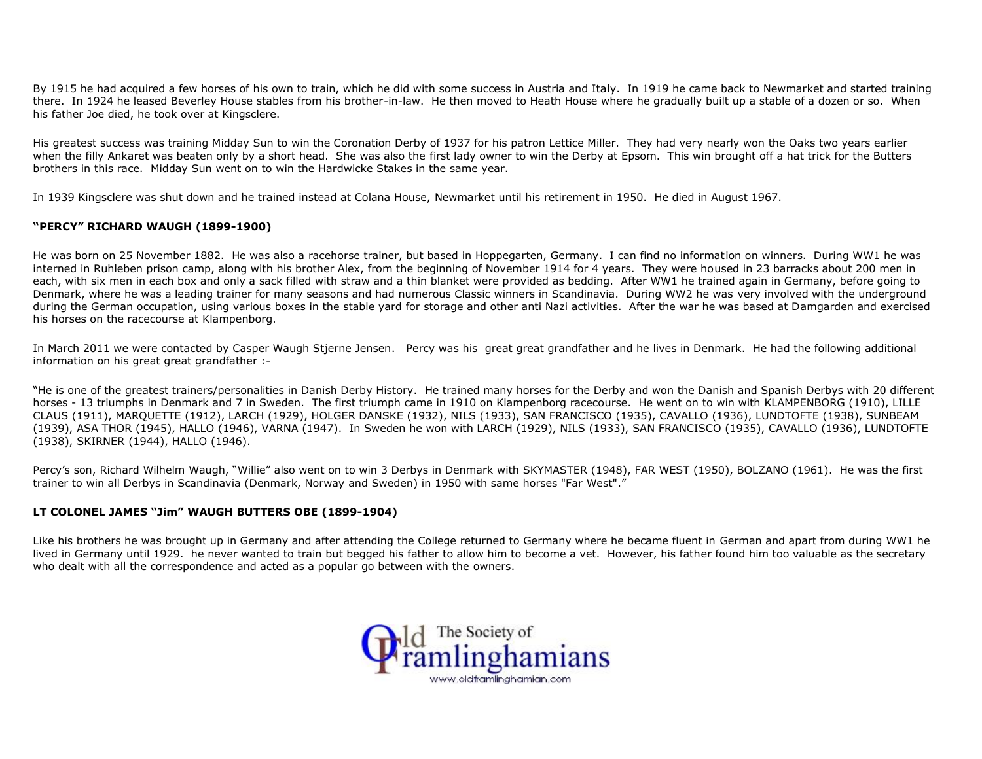By 1915 he had acquired a few horses of his own to train, which he did with some success in Austria and Italy. In 1919 he came back to Newmarket and started training there. In 1924 he leased Beverley House stables from his brother-in-law. He then moved to Heath House where he gradually built up a stable of a dozen or so. When his father Joe died, he took over at Kingsclere.

His greatest success was training Midday Sun to win the Coronation Derby of 1937 for his patron Lettice Miller. They had very nearly won the Oaks two years earlier when the filly Ankaret was beaten only by a short head. She was also the first lady owner to win the Derby at Epsom. This win brought off a hat trick for the Butters brothers in this race. Midday Sun went on to win the Hardwicke Stakes in the same year.

In 1939 Kingsclere was shut down and he trained instead at Colana House, Newmarket until his retirement in 1950. He died in August 1967.

## **"PERCY" RICHARD WAUGH (1899-1900)**

He was born on 25 November 1882. He was also a racehorse trainer, but based in Hoppegarten, Germany. I can find no information on winners. During WW1 he was interned in Ruhleben prison camp, along with his brother Alex, from the beginning of November 1914 for 4 years. They were housed in 23 barracks about 200 men in each, with six men in each box and only a sack filled with straw and a thin blanket were provided as bedding. After WW1 he trained again in Germany, before going to Denmark, where he was a leading trainer for many seasons and had numerous Classic winners in Scandinavia. During WW2 he was very involved with the underground during the German occupation, using various boxes in the stable yard for storage and other anti Nazi activities. After the war he was based at Damgarden and exercised his horses on the racecourse at Klampenborg.

In March 2011 we were contacted by Casper Waugh Stjerne Jensen. Percy was his great great grandfather and he lives in Denmark. He had the following additional information on his great great grandfather :-

"He is one of the greatest trainers/personalities in Danish Derby History. He trained many horses for the Derby and won the Danish and Spanish Derbys with 20 different horses - 13 triumphs in Denmark and 7 in Sweden. The first triumph came in 1910 on Klampenborg racecourse. He went on to win with KLAMPENBORG (1910), LILLE CLAUS (1911), MARQUETTE (1912), LARCH (1929), HOLGER DANSKE (1932), NILS (1933), SAN FRANCISCO (1935), CAVALLO (1936), LUNDTOFTE (1938), SUNBEAM (1939), ASA THOR (1945), HALLO (1946), VARNA (1947). In Sweden he won with LARCH (1929), NILS (1933), SAN FRANCISCO (1935), CAVALLO (1936), LUNDTOFTE (1938), SKIRNER (1944), HALLO (1946).

Percy's son, Richard Wilhelm Waugh, "Willie" also went on to win 3 Derbys in Denmark with SKYMASTER (1948), FAR WEST (1950), BOLZANO (1961). He was the first trainer to win all Derbys in Scandinavia (Denmark, Norway and Sweden) in 1950 with same horses "Far West"."

#### **LT COLONEL JAMES "Jim" WAUGH BUTTERS OBE (1899-1904)**

Like his brothers he was brought up in Germany and after attending the College returned to Germany where he became fluent in German and apart from during WW1 he lived in Germany until 1929. he never wanted to train but begged his father to allow him to become a vet. However, his father found him too valuable as the secretary who dealt with all the correspondence and acted as a popular go between with the owners.

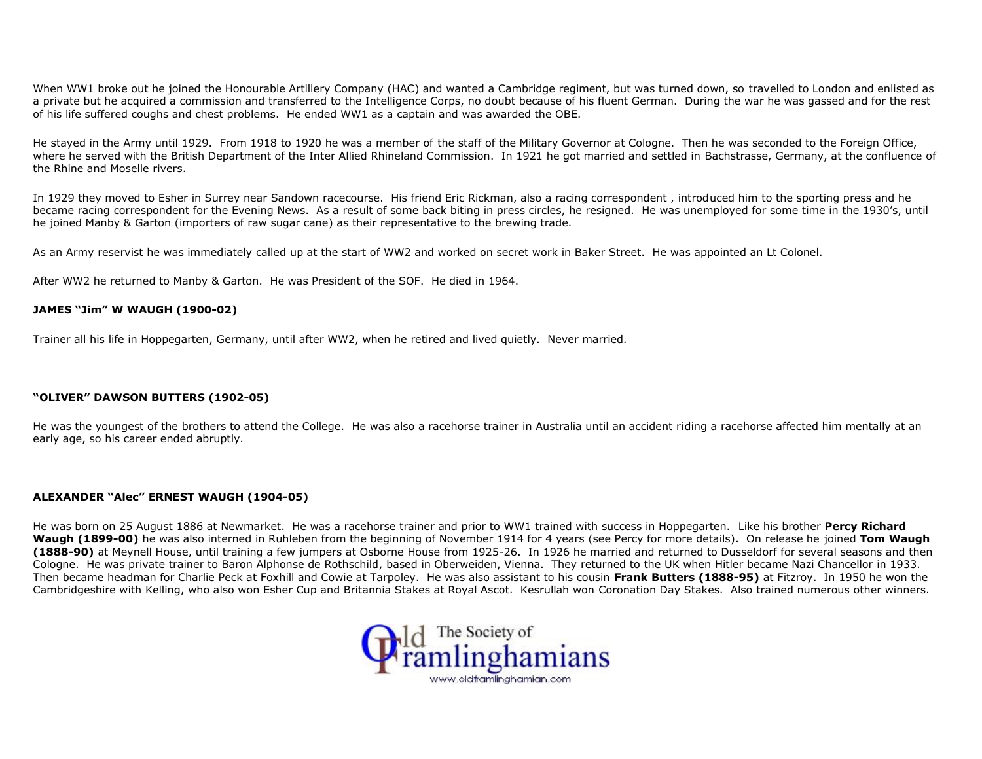When WW1 broke out he joined the Honourable Artillery Company (HAC) and wanted a Cambridge regiment, but was turned down, so travelled to London and enlisted as a private but he acquired a commission and transferred to the Intelligence Corps, no doubt because of his fluent German. During the war he was gassed and for the rest of his life suffered coughs and chest problems. He ended WW1 as a captain and was awarded the OBE.

He stayed in the Army until 1929. From 1918 to 1920 he was a member of the staff of the Military Governor at Cologne. Then he was seconded to the Foreign Office, where he served with the British Department of the Inter Allied Rhineland Commission. In 1921 he got married and settled in Bachstrasse, Germany, at the confluence of the Rhine and Moselle rivers.

In 1929 they moved to Esher in Surrey near Sandown racecourse. His friend Eric Rickman, also a racing correspondent , introduced him to the sporting press and he became racing correspondent for the Evening News. As a result of some back biting in press circles, he resigned. He was unemployed for some time in the 1930's, until he joined Manby & Garton (importers of raw sugar cane) as their representative to the brewing trade.

As an Army reservist he was immediately called up at the start of WW2 and worked on secret work in Baker Street. He was appointed an Lt Colonel.

After WW2 he returned to Manby & Garton. He was President of the SOF. He died in 1964.

#### **JAMES "Jim" W WAUGH (1900-02)**

Trainer all his life in Hoppegarten, Germany, until after WW2, when he retired and lived quietly. Never married.

### **"OLIVER" DAWSON BUTTERS (1902-05)**

He was the youngest of the brothers to attend the College. He was also a racehorse trainer in Australia until an accident riding a racehorse affected him mentally at an early age, so his career ended abruptly.

#### **ALEXANDER "Alec" ERNEST WAUGH (1904-05)**

He was born on 25 August 1886 at Newmarket. He was a racehorse trainer and prior to WW1 trained with success in Hoppegarten. Like his brother **Percy Richard Waugh (1899-00)** he was also interned in Ruhleben from the beginning of November 1914 for 4 years (see Percy for more details). On release he joined **Tom Waugh (1888-90)** at Meynell House, until training a few jumpers at Osborne House from 1925-26. In 1926 he married and returned to Dusseldorf for several seasons and then Cologne. He was private trainer to Baron Alphonse de Rothschild, based in Oberweiden, Vienna. They returned to the UK when Hitler became Nazi Chancellor in 1933. Then became headman for Charlie Peck at Foxhill and Cowie at Tarpoley. He was also assistant to his cousin **Frank Butters (1888-95)** at Fitzroy. In 1950 he won the Cambridgeshire with Kelling, who also won Esher Cup and Britannia Stakes at Royal Ascot. Kesrullah won Coronation Day Stakes. Also trained numerous other winners.

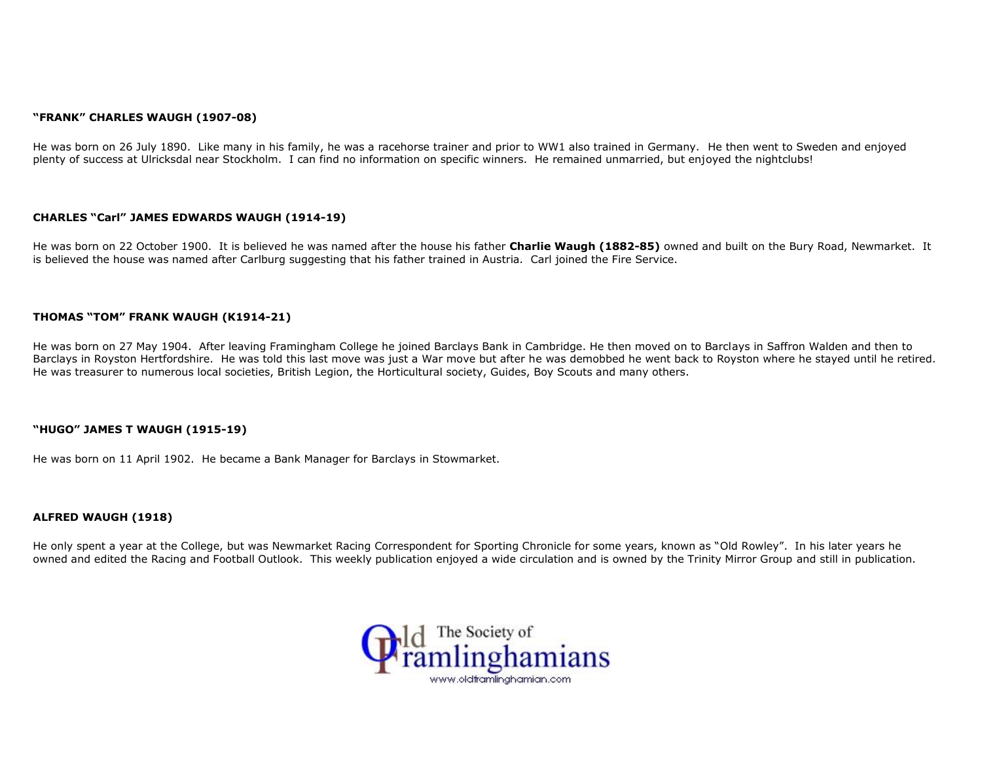#### **"FRANK" CHARLES WAUGH (1907-08)**

He was born on 26 July 1890. Like many in his family, he was a racehorse trainer and prior to WW1 also trained in Germany. He then went to Sweden and enjoyed plenty of success at Ulricksdal near Stockholm. I can find no information on specific winners. He remained unmarried, but enjoyed the nightclubs!

#### **CHARLES "Carl" JAMES EDWARDS WAUGH (1914-19)**

He was born on 22 October 1900. It is believed he was named after the house his father **Charlie Waugh (1882-85)** owned and built on the Bury Road, Newmarket. It is believed the house was named after Carlburg suggesting that his father trained in Austria. Carl joined the Fire Service.

#### **THOMAS "TOM" FRANK WAUGH (K1914-21)**

He was born on 27 May 1904. After leaving Framingham College he joined Barclays Bank in Cambridge. He then moved on to Barclays in Saffron Walden and then to Barclays in Royston Hertfordshire. He was told this last move was just a War move but after he was demobbed he went back to Royston where he stayed until he retired. He was treasurer to numerous local societies, British Legion, the Horticultural society, Guides, Boy Scouts and many others.

#### **"HUGO" JAMES T WAUGH (1915-19)**

He was born on 11 April 1902. He became a Bank Manager for Barclays in Stowmarket.

#### **ALFRED WAUGH (1918)**

He only spent a year at the College, but was Newmarket Racing Correspondent for Sporting Chronicle for some years, known as "Old Rowley". In his later years he owned and edited the Racing and Football Outlook. This weekly publication enjoyed a wide circulation and is owned by the Trinity Mirror Group and still in publication.

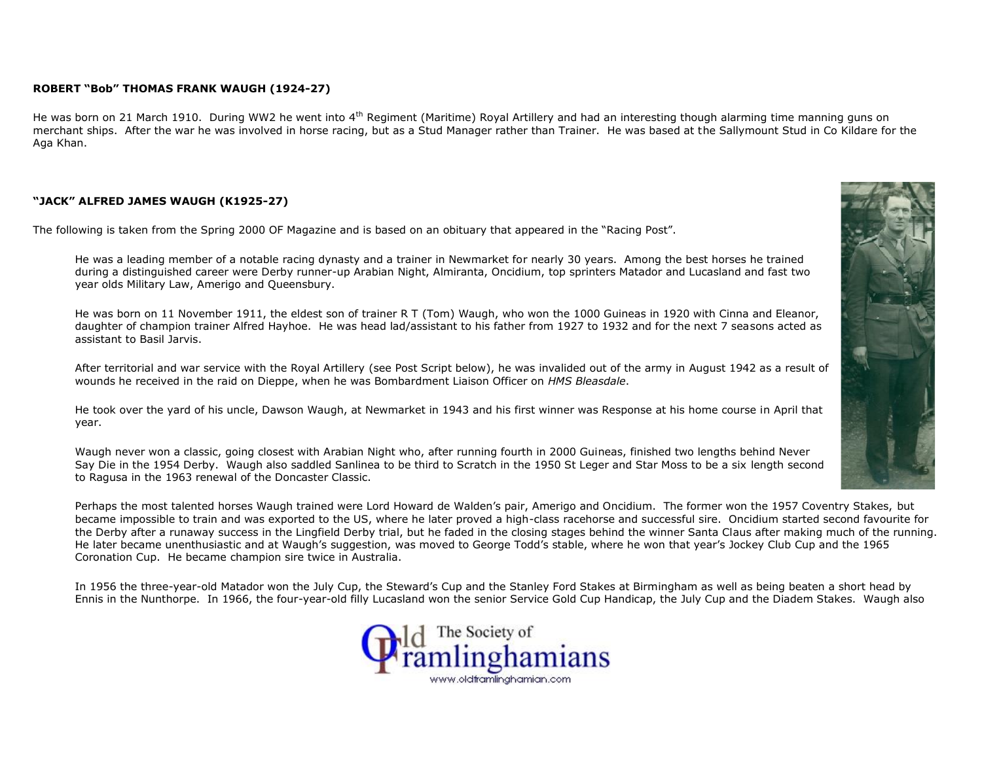#### **ROBERT "Bob" THOMAS FRANK WAUGH (1924-27)**

He was born on 21 March 1910. During WW2 he went into 4<sup>th</sup> Regiment (Maritime) Royal Artillery and had an interesting though alarming time manning guns on merchant ships. After the war he was involved in horse racing, but as a Stud Manager rather than Trainer. He was based at the Sallymount Stud in Co Kildare for the Aga Khan.

## **"JACK" ALFRED JAMES WAUGH (K1925-27)**

The following is taken from the Spring 2000 OF Magazine and is based on an obituary that appeared in the "Racing Post".

He was a leading member of a notable racing dynasty and a trainer in Newmarket for nearly 30 years. Among the best horses he trained during a distinguished career were Derby runner-up Arabian Night, Almiranta, Oncidium, top sprinters Matador and Lucasland and fast two year olds Military Law, Amerigo and Queensbury.

He was born on 11 November 1911, the eldest son of trainer R T (Tom) Waugh, who won the 1000 Guineas in 1920 with Cinna and Eleanor, daughter of champion trainer Alfred Hayhoe. He was head lad/assistant to his father from 1927 to 1932 and for the next 7 seasons acted as assistant to Basil Jarvis.

After territorial and war service with the Royal Artillery (see Post Script below), he was invalided out of the army in August 1942 as a result of wounds he received in the raid on Dieppe, when he was Bombardment Liaison Officer on *HMS Bleasdale*.

He took over the yard of his uncle, Dawson Waugh, at Newmarket in 1943 and his first winner was Response at his home course in April that year.

Waugh never won a classic, going closest with Arabian Night who, after running fourth in 2000 Guineas, finished two lengths behind Never Say Die in the 1954 Derby. Waugh also saddled Sanlinea to be third to Scratch in the 1950 St Leger and Star Moss to be a six length second to Ragusa in the 1963 renewal of the Doncaster Classic.

Perhaps the most talented horses Waugh trained were Lord Howard de Walden's pair, Amerigo and Oncidium. The former won the 1957 Coventry Stakes, but became impossible to train and was exported to the US, where he later proved a high-class racehorse and successful sire. Oncidium started second favourite for the Derby after a runaway success in the Lingfield Derby trial, but he faded in the closing stages behind the winner Santa Claus after making much of the running. He later became unenthusiastic and at Waugh's suggestion, was moved to George Todd's stable, where he won that year's Jockey Club Cup and the 1965 Coronation Cup. He became champion sire twice in Australia.

In 1956 the three-year-old Matador won the July Cup, the Steward's Cup and the Stanley Ford Stakes at Birmingham as well as being beaten a short head by Ennis in the Nunthorpe. In 1966, the four-year-old filly Lucasland won the senior Service Gold Cup Handicap, the July Cup and the Diadem Stakes. Waugh also



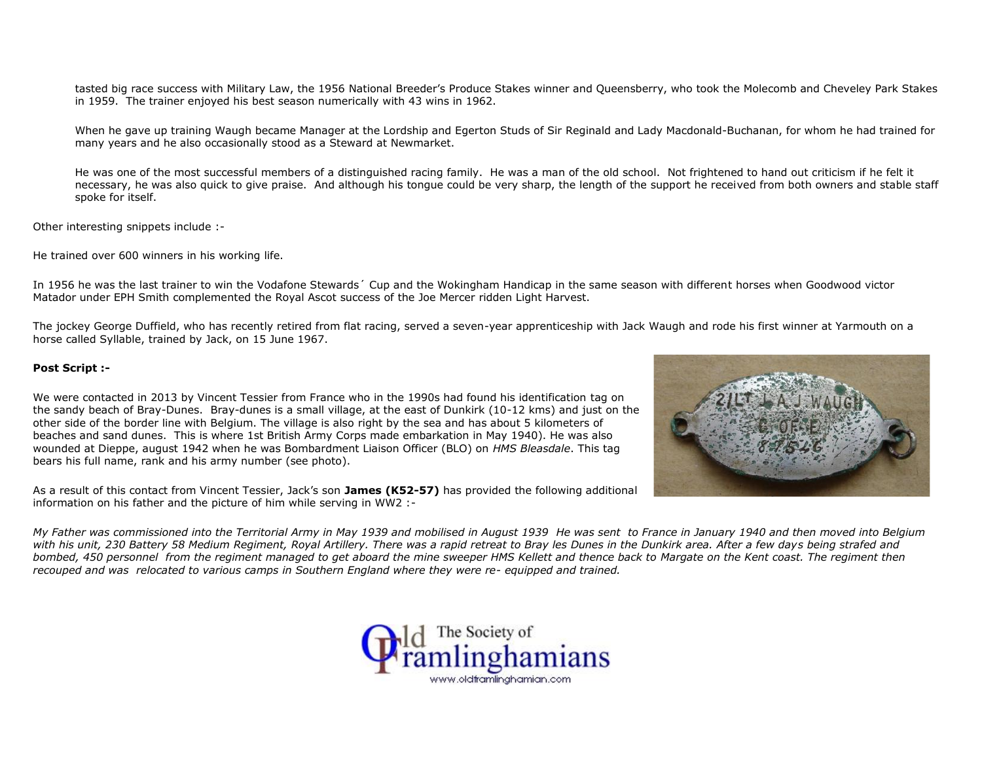tasted big race success with Military Law, the 1956 National Breeder's Produce Stakes winner and Queensberry, who took the Molecomb and Cheveley Park Stakes in 1959. The trainer enjoyed his best season numerically with 43 wins in 1962.

When he gave up training Waugh became Manager at the Lordship and Egerton Studs of Sir Reginald and Lady Macdonald-Buchanan, for whom he had trained for many years and he also occasionally stood as a Steward at Newmarket.

He was one of the most successful members of a distinguished racing family. He was a man of the old school. Not frightened to hand out criticism if he felt it necessary, he was also quick to give praise. And although his tongue could be very sharp, the length of the support he received from both owners and stable staff spoke for itself.

Other interesting snippets include :-

He trained over 600 winners in his working life.

In 1956 he was the last trainer to win the Vodafone Stewards´ Cup and the Wokingham Handicap in the same season with different horses when Goodwood victor Matador under EPH Smith complemented the Royal Ascot success of the Joe Mercer ridden Light Harvest.

The jockey George Duffield, who has recently retired from flat racing, served a seven-year apprenticeship with Jack Waugh and rode his first winner at Yarmouth on a horse called Syllable, trained by Jack, on 15 June 1967.

## **Post Script :-**

We were contacted in 2013 by Vincent Tessier from France who in the 1990s had found his identification tag on the sandy beach of Bray-Dunes. Bray-dunes is a small village, at the east of Dunkirk (10-12 kms) and just on the other side of the border line with Belgium. The village is also right by the sea and has about 5 kilometers of beaches and sand dunes. This is where 1st British Army Corps made embarkation in May 1940). He was also wounded at Dieppe, august 1942 when he was Bombardment Liaison Officer (BLO) on *HMS Bleasdale*. This tag bears his full name, rank and his army number (see photo).

As a result of this contact from Vincent Tessier, Jack's son **James (K52-57)** has provided the following additional information on his father and the picture of him while serving in WW2 :-



*My Father was commissioned into the Territorial Army in May 1939 and mobilised in August 1939 He was sent to France in January 1940 and then moved into Belgium with his unit, 230 Battery 58 Medium Regiment, Royal Artillery. There was a rapid retreat to Bray les Dunes in the Dunkirk area. After a few days being strafed and bombed, 450 personnel from the regiment managed to get aboard the mine sweeper HMS Kellett and thence back to Margate on the Kent coast. The regiment then recouped and was relocated to various camps in Southern England where they were re- equipped and trained.*

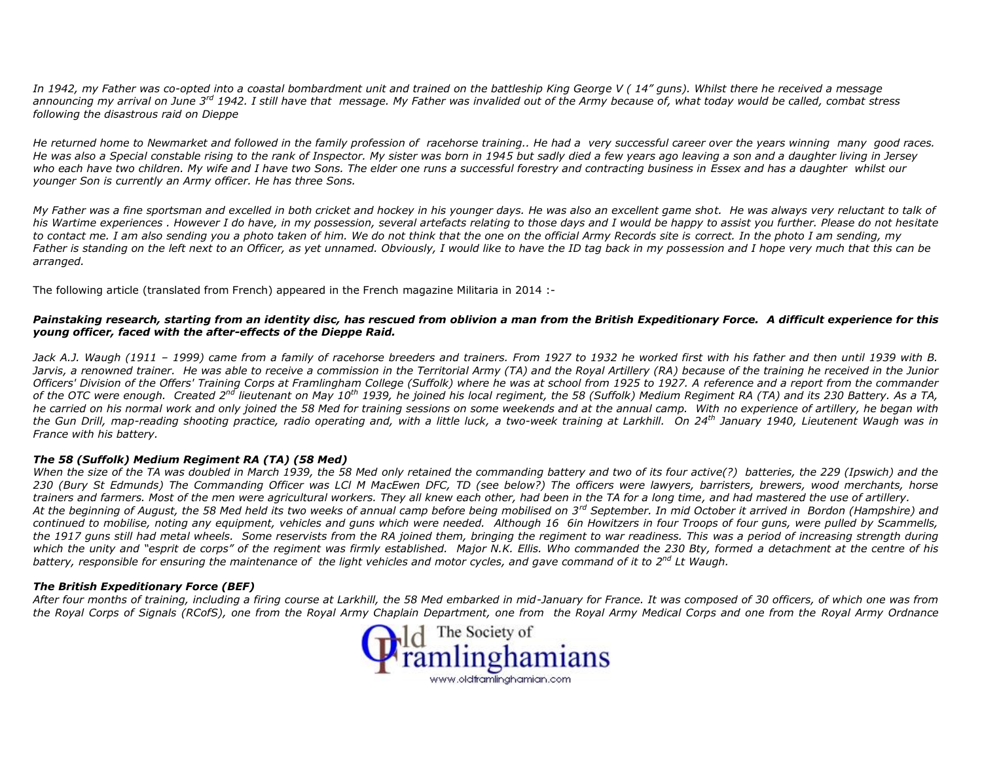*In 1942, my Father was co-opted into a coastal bombardment unit and trained on the battleship King George V ( 14" guns). Whilst there he received a message announcing my arrival on June 3rd 1942. I still have that message. My Father was invalided out of the Army because of, what today would be called, combat stress following the disastrous raid on Dieppe*

*He returned home to Newmarket and followed in the family profession of racehorse training.. He had a very successful career over the years winning many good races. He was also a Special constable rising to the rank of Inspector. My sister was born in 1945 but sadly died a few years ago leaving a son and a daughter living in Jersey who each have two children. My wife and I have two Sons. The elder one runs a successful forestry and contracting business in Essex and has a daughter whilst our younger Son is currently an Army officer. He has three Sons.*

*My Father was a fine sportsman and excelled in both cricket and hockey in his younger days. He was also an excellent game shot. He was always very reluctant to talk of his Wartime experiences . However I do have, in my possession, several artefacts relating to those days and I would be happy to assist you further. Please do not hesitate* to contact me. I am also sending you a photo taken of him. We do not think that the one on the official Army Records site is correct. In the photo I am sending, my *Father is standing on the left next to an Officer, as yet unnamed. Obviously, I would like to have the ID tag back in my possession and I hope very much that this can be arranged.*

The following article (translated from French) appeared in the French magazine Militaria in 2014 :-

## *Painstaking research, starting from an identity disc, has rescued from oblivion a man from the British Expeditionary Force. A difficult experience for this young officer, faced with the after-effects of the Dieppe Raid.*

*Jack A.J. Waugh (1911 – 1999) came from a family of racehorse breeders and trainers. From 1927 to 1932 he worked first with his father and then until 1939 with B. Jarvis, a renowned trainer. He was able to receive a commission in the Territorial Army (TA) and the Royal Artillery (RA) because of the training he received in the Junior Officers' Division of the Offers' Training Corps at Framlingham College (Suffolk) where he was at school from 1925 to 1927. A reference and a report from the commander of the OTC were enough. Created 2nd lieutenant on May 10th 1939, he joined his local regiment, the 58 (Suffolk) Medium Regiment RA (TA) and its 230 Battery. As a TA, he carried on his normal work and only joined the 58 Med for training sessions on some weekends and at the annual camp. With no experience of artillery, he began with the Gun Drill, map-reading shooting practice, radio operating and, with a little luck, a two-week training at Larkhill. On 24th January 1940, Lieutenent Waugh was in France with his battery.*

#### *The 58 (Suffolk) Medium Regiment RA (TA) (58 Med)*

*When the size of the TA was doubled in March 1939, the 58 Med only retained the commanding battery and two of its four active(?) batteries, the 229 (Ipswich) and the 230 (Bury St Edmunds) The Commanding Officer was LCl M MacEwen DFC, TD (see below?) The officers were lawyers, barristers, brewers, wood merchants, horse trainers and farmers. Most of the men were agricultural workers. They all knew each other, had been in the TA for a long time, and had mastered the use of artillery. At the beginning of August, the 58 Med held its two weeks of annual camp before being mobilised on 3rd September. In mid October it arrived in Bordon (Hampshire) and continued to mobilise, noting any equipment, vehicles and guns which were needed. Although 16 6in Howitzers in four Troops of four guns, were pulled by Scammells, the 1917 guns still had metal wheels. Some reservists from the RA joined them, bringing the regiment to war readiness. This was a period of increasing strength during which the unity and "esprit de corps" of the regiment was firmly established. Major N.K. Ellis. Who commanded the 230 Bty, formed a detachment at the centre of his battery, responsible for ensuring the maintenance of the light vehicles and motor cycles, and gave command of it to 2nd Lt Waugh.*

## *The British Expeditionary Force (BEF)*

*After four months of training, including a firing course at Larkhill, the 58 Med embarked in mid-January for France. It was composed of 30 officers, of which one was from the Royal Corps of Signals (RCofS), one from the Royal Army Chaplain Department, one from the Royal Army Medical Corps and one from the Royal Army Ordnance*

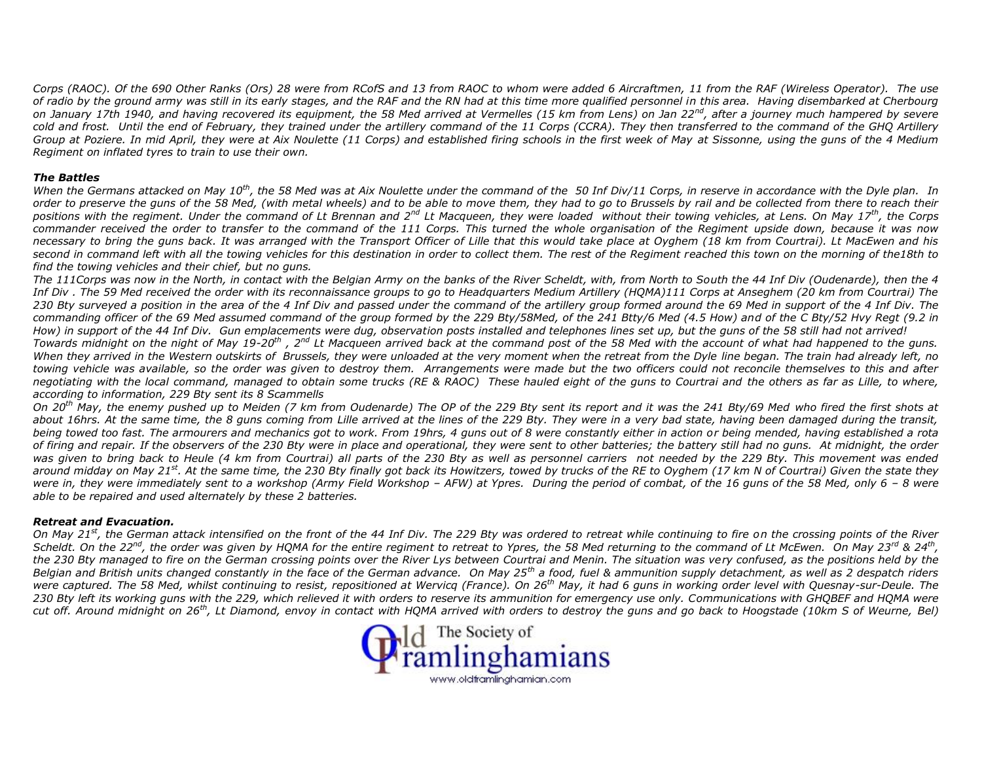*Corps (RAOC). Of the 690 Other Ranks (Ors) 28 were from RCofS and 13 from RAOC to whom were added 6 Aircraftmen, 11 from the RAF (Wireless Operator). The use of radio by the ground army was still in its early stages, and the RAF and the RN had at this time more qualified personnel in this area. Having disembarked at Cherbourg on January 17th 1940, and having recovered its equipment, the 58 Med arrived at Vermelles (15 km from Lens) on Jan 22nd, after a journey much hampered by severe cold and frost. Until the end of February, they trained under the artillery command of the 11 Corps (CCRA). They then transferred to the command of the GHQ Artillery Group at Poziere. In mid April, they were at Aix Noulette (11 Corps) and established firing schools in the first week of May at Sissonne, using the guns of the 4 Medium Regiment on inflated tyres to train to use their own.*

#### *The Battles*

*When the Germans attacked on May 10th, the 58 Med was at Aix Noulette under the command of the 50 Inf Div/11 Corps, in reserve in accordance with the Dyle plan. In order to preserve the guns of the 58 Med, (with metal wheels) and to be able to move them, they had to go to Brussels by rail and be collected from there to reach their positions with the regiment. Under the command of Lt Brennan and 2nd Lt Macqueen, they were loaded without their towing vehicles, at Lens. On May 17th, the Corps commander received the order to transfer to the command of the 111 Corps. This turned the whole organisation of the Regiment upside down, because it was now necessary to bring the guns back. It was arranged with the Transport Officer of Lille that this would take place at Oyghem (18 km from Courtrai). Lt MacEwen and his second in command left with all the towing vehicles for this destination in order to collect them. The rest of the Regiment reached this town on the morning of the18th to find the towing vehicles and their chief, but no guns.*

*The 111Corps was now in the North, in contact with the Belgian Army on the banks of the River Scheldt, with, from North to South the 44 Inf Div (Oudenarde), then the 4 Inf Div . The 59 Med received the order with its reconnaissance groups to go to Headquarters Medium Artillery (HQMA)111 Corps at Anseghem (20 km from Courtrai) The 230 Bty surveyed a position in the area of the 4 Inf Div and passed under the command of the artillery group formed around the 69 Med in support of the 4 Inf Div. The commanding officer of the 69 Med assumed command of the group formed by the 229 Bty/58Med, of the 241 Btty/6 Med (4.5 How) and of the C Bty/52 Hvy Regt (9.2 in How) in support of the 44 Inf Div. Gun emplacements were dug, observation posts installed and telephones lines set up, but the guns of the 58 still had not arrived!*

*Towards midnight on the night of May 19-20th , 2nd Lt Macqueen arrived back at the command post of the 58 Med with the account of what had happened to the guns. When they arrived in the Western outskirts of Brussels, they were unloaded at the very moment when the retreat from the Dyle line began. The train had already left, no towing vehicle was available, so the order was given to destroy them. Arrangements were made but the two officers could not reconcile themselves to this and after negotiating with the local command, managed to obtain some trucks (RE & RAOC) These hauled eight of the guns to Courtrai and the others as far as Lille, to where, according to information, 229 Bty sent its 8 Scammells*

*On 20th May, the enemy pushed up to Meiden (7 km from Oudenarde) The OP of the 229 Bty sent its report and it was the 241 Bty/69 Med who fired the first shots at about 16hrs. At the same time, the 8 guns coming from Lille arrived at the lines of the 229 Bty. They were in a very bad state, having been damaged during the transit, being towed too fast. The armourers and mechanics got to work. From 19hrs, 4 guns out of 8 were constantly either in action or being mended, having established a rota of firing and repair. If the observers of the 230 Bty were in place and operational, they were sent to other batteries; the battery still had no guns. At midnight, the order was given to bring back to Heule (4 km from Courtrai) all parts of the 230 Bty as well as personnel carriers not needed by the 229 Bty. This movement was ended around midday on May 21st. At the same time, the 230 Bty finally got back its Howitzers, towed by trucks of the RE to Oyghem (17 km N of Courtrai) Given the state they were in, they were immediately sent to a workshop (Army Field Workshop – AFW) at Ypres. During the period of combat, of the 16 guns of the 58 Med, only 6 – 8 were able to be repaired and used alternately by these 2 batteries.*

#### *Retreat and Evacuation.*

*On May 21st, the German attack intensified on the front of the 44 Inf Div. The 229 Bty was ordered to retreat while continuing to fire on the crossing points of the River Scheldt. On the 22nd, the order was given by HQMA for the entire regiment to retreat to Ypres, the 58 Med returning to the command of Lt McEwen. On May 23rd & 24th , the 230 Bty managed to fire on the German crossing points over the River Lys between Courtrai and Menin. The situation was very confused, as the positions held by the Belgian and British units changed constantly in the face of the German advance. On May 25th a food, fuel & ammunition supply detachment, as well as 2 despatch riders were captured. The 58 Med, whilst continuing to resist, repositioned at Wervicq (France). On 26th May, it had 6 guns in working order level with Quesnay-sur-Deule. The 230 Bty left its working guns with the 229, which relieved it with orders to reserve its ammunition for emergency use only. Communications with GHQBEF and HQMA were cut off. Around midnight on 26th, Lt Diamond, envoy in contact with HQMA arrived with orders to destroy the guns and go back to Hoogstade (10km S of Weurne, Bel)*

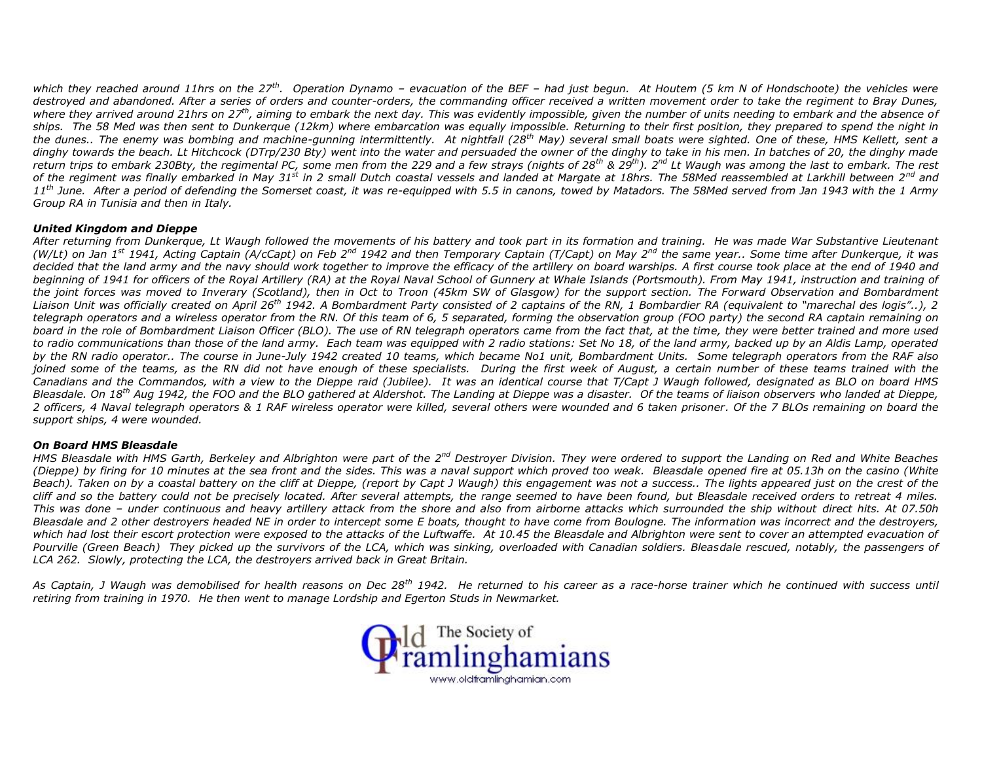*which they reached around 11hrs on the 27th. Operation Dynamo – evacuation of the BEF – had just begun. At Houtem (5 km N of Hondschoote) the vehicles were destroyed and abandoned. After a series of orders and counter-orders, the commanding officer received a written movement order to take the regiment to Bray Dunes, where they arrived around 21hrs on 27 th, aiming to embark the next day. This was evidently impossible, given the number of units needing to embark and the absence of ships. The 58 Med was then sent to Dunkerque (12km) where embarcation was equally impossible. Returning to their first position, they prepared to spend the night in the dunes.. The enemy was bombing and machine-gunning intermittently. At nightfall (28th May) several small boats were sighted. One of these, HMS Kellett, sent a dinghy towards the beach. Lt Hitchcock (DTrp/230 Bty) went into the water and persuaded the owner of the dinghy to take in his men. In batches of 20, the dinghy made return trips to embark 230Bty, the regimental PC, some men from the 229 and a few strays (nights of 28th & 29th). 2nd Lt Waugh was among the last to embark. The rest of the regiment was finally embarked in May 31st in 2 small Dutch coastal vessels and landed at Margate at 18hrs. The 58Med reassembled at Larkhill between 2nd and 11th June. After a period of defending the Somerset coast, it was re-equipped with 5.5 in canons, towed by Matadors. The 58Med served from Jan 1943 with the 1 Army Group RA in Tunisia and then in Italy.*

## *United Kingdom and Dieppe*

*After returning from Dunkerque, Lt Waugh followed the movements of his battery and took part in its formation and training. He was made War Substantive Lieutenant (W/Lt) on Jan 1st 1941, Acting Captain (A/cCapt) on Feb 2nd 1942 and then Temporary Captain (T/Capt) on May 2nd the same year.. Some time after Dunkerque, it was decided that the land army and the navy should work together to improve the efficacy of the artillery on board warships. A first course took place at the end of 1940 and beginning of 1941 for officers of the Royal Artillery (RA) at the Royal Naval School of Gunnery at Whale Islands (Portsmouth). From May 1941, instruction and training of the joint forces was moved to Inverary (Scotland), then in Oct to Troon (45km SW of Glasgow) for the support section. The Forward Observation and Bombardment Liaison Unit was officially created on April 26th 1942. A Bombardment Party consisted of 2 captains of the RN, 1 Bombardier RA (equivalent to "marechal des logis"..), 2 telegraph operators and a wireless operator from the RN. Of this team of 6, 5 separated, forming the observation group (FOO party) the second RA captain remaining on board in the role of Bombardment Liaison Officer (BLO). The use of RN telegraph operators came from the fact that, at the time, they were better trained and more used to radio communications than those of the land army. Each team was equipped with 2 radio stations: Set No 18, of the land army, backed up by an Aldis Lamp, operated by the RN radio operator.. The course in June-July 1942 created 10 teams, which became No1 unit, Bombardment Units. Some telegraph operators from the RAF also joined some of the teams, as the RN did not have enough of these specialists. During the first week of August, a certain number of these teams trained with the Canadians and the Commandos, with a view to the Dieppe raid (Jubilee). It was an identical course that T/Capt J Waugh followed, designated as BLO on board HMS Bleasdale. On 18th Aug 1942, the FOO and the BLO gathered at Aldershot. The Landing at Dieppe was a disaster. Of the teams of liaison observers who landed at Dieppe, 2 officers, 4 Naval telegraph operators & 1 RAF wireless operator were killed, several others were wounded and 6 taken prisoner. Of the 7 BLOs remaining on board the support ships, 4 were wounded.*

## *On Board HMS Bleasdale*

*HMS Bleasdale with HMS Garth, Berkeley and Albrighton were part of the 2nd Destroyer Division. They were ordered to support the Landing on Red and White Beaches (Dieppe) by firing for 10 minutes at the sea front and the sides. This was a naval support which proved too weak. Bleasdale opened fire at 05.13h on the casino (White Beach). Taken on by a coastal battery on the cliff at Dieppe, (report by Capt J Waugh) this engagement was not a success.. The lights appeared just on the crest of the cliff and so the battery could not be precisely located. After several attempts, the range seemed to have been found, but Bleasdale received orders to retreat 4 miles. This was done – under continuous and heavy artillery attack from the shore and also from airborne attacks which surrounded the ship without direct hits. At 07.50h Bleasdale and 2 other destroyers headed NE in order to intercept some E boats, thought to have come from Boulogne. The information was incorrect and the destroyers, which had lost their escort protection were exposed to the attacks of the Luftwaffe. At 10.45 the Bleasdale and Albrighton were sent to cover an attempted evacuation of Pourville (Green Beach) They picked up the survivors of the LCA, which was sinking, overloaded with Canadian soldiers. Bleasdale rescued, notably, the passengers of LCA 262. Slowly, protecting the LCA, the destroyers arrived back in Great Britain.*

*As Captain, J Waugh was demobilised for health reasons on Dec 28th 1942. He returned to his career as a race-horse trainer which he continued with success until retiring from training in 1970. He then went to manage Lordship and Egerton Studs in Newmarket.*

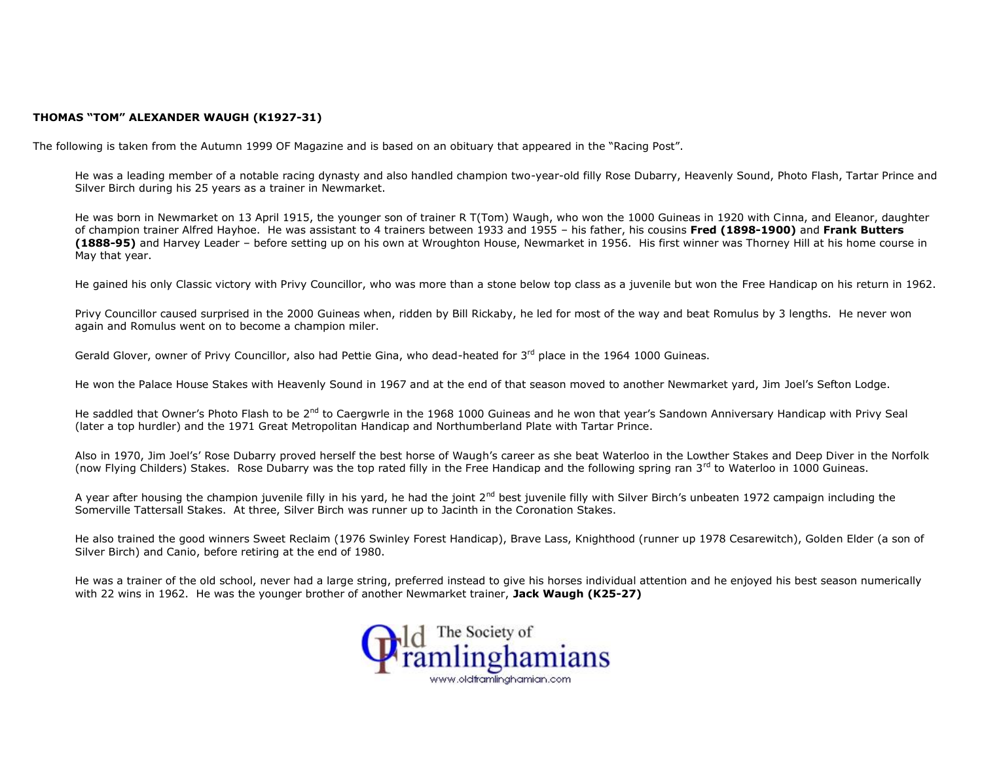## **THOMAS "TOM" ALEXANDER WAUGH (K1927-31)**

The following is taken from the Autumn 1999 OF Magazine and is based on an obituary that appeared in the "Racing Post".

He was a leading member of a notable racing dynasty and also handled champion two-year-old filly Rose Dubarry, Heavenly Sound, Photo Flash, Tartar Prince and Silver Birch during his 25 years as a trainer in Newmarket.

He was born in Newmarket on 13 April 1915, the younger son of trainer R T(Tom) Waugh, who won the 1000 Guineas in 1920 with Cinna, and Eleanor, daughter of champion trainer Alfred Hayhoe. He was assistant to 4 trainers between 1933 and 1955 – his father, his cousins **Fred (1898-1900)** and **Frank Butters (1888-95)** and Harvey Leader – before setting up on his own at Wroughton House, Newmarket in 1956. His first winner was Thorney Hill at his home course in May that year.

He gained his only Classic victory with Privy Councillor, who was more than a stone below top class as a juvenile but won the Free Handicap on his return in 1962.

Privy Councillor caused surprised in the 2000 Guineas when, ridden by Bill Rickaby, he led for most of the way and beat Romulus by 3 lengths. He never won again and Romulus went on to become a champion miler.

Gerald Glover, owner of Privy Councillor, also had Pettie Gina, who dead-heated for 3<sup>rd</sup> place in the 1964 1000 Guineas.

He won the Palace House Stakes with Heavenly Sound in 1967 and at the end of that season moved to another Newmarket yard, Jim Joel's Sefton Lodge.

He saddled that Owner's Photo Flash to be 2<sup>nd</sup> to Caergwrle in the 1968 1000 Guineas and he won that year's Sandown Anniversary Handicap with Privy Seal (later a top hurdler) and the 1971 Great Metropolitan Handicap and Northumberland Plate with Tartar Prince.

Also in 1970, Jim Joel's' Rose Dubarry proved herself the best horse of Waugh's career as she beat Waterloo in the Lowther Stakes and Deep Diver in the Norfolk (now Flying Childers) Stakes. Rose Dubarry was the top rated filly in the Free Handicap and the following spring ran 3rd to Waterloo in 1000 Guineas.

A year after housing the champion juvenile filly in his yard, he had the joint 2<sup>nd</sup> best juvenile filly with Silver Birch's unbeaten 1972 campaign including the Somerville Tattersall Stakes. At three, Silver Birch was runner up to Jacinth in the Coronation Stakes.

He also trained the good winners Sweet Reclaim (1976 Swinley Forest Handicap), Brave Lass, Knighthood (runner up 1978 Cesarewitch), Golden Elder (a son of Silver Birch) and Canio, before retiring at the end of 1980.

He was a trainer of the old school, never had a large string, preferred instead to give his horses individual attention and he enjoyed his best season numerically with 22 wins in 1962. He was the younger brother of another Newmarket trainer, **Jack Waugh (K25-27)**

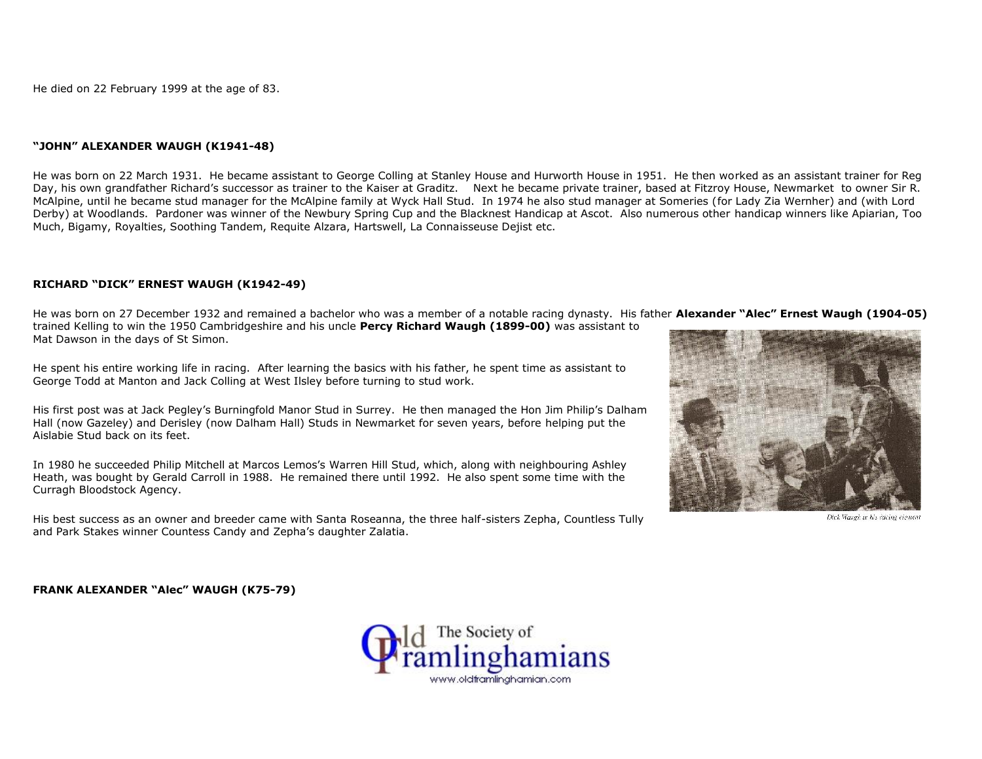He died on 22 February 1999 at the age of 83.

#### **"JOHN" ALEXANDER WAUGH (K1941-48)**

He was born on 22 March 1931. He became assistant to George Colling at Stanley House and Hurworth House in 1951. He then worked as an assistant trainer for Reg Day, his own grandfather Richard's successor as trainer to the Kaiser at Graditz. Next he became private trainer, based at Fitzroy House, Newmarket to owner Sir R. McAlpine, until he became stud manager for the McAlpine family at Wyck Hall Stud. In 1974 he also stud manager at Someries (for Lady Zia Wernher) and (with Lord Derby) at Woodlands. Pardoner was winner of the Newbury Spring Cup and the Blacknest Handicap at Ascot. Also numerous other handicap winners like Apiarian, Too Much, Bigamy, Royalties, Soothing Tandem, Requite Alzara, Hartswell, La Connaisseuse Dejist etc.

## **RICHARD "DICK" ERNEST WAUGH (K1942-49)**

He was born on 27 December 1932 and remained a bachelor who was a member of a notable racing dynasty. His father **Alexander "Alec" Ernest Waugh (1904-05)** trained Kelling to win the 1950 Cambridgeshire and his uncle **Percy Richard Waugh (1899-00)** was assistant to Mat Dawson in the days of St Simon.

He spent his entire working life in racing. After learning the basics with his father, he spent time as assistant to George Todd at Manton and Jack Colling at West Ilsley before turning to stud work.

His first post was at Jack Pegley's Burningfold Manor Stud in Surrey. He then managed the Hon Jim Philip's Dalham Hall (now Gazeley) and Derisley (now Dalham Hall) Studs in Newmarket for seven years, before helping put the Aislabie Stud back on its feet.

In 1980 he succeeded Philip Mitchell at Marcos Lemos's Warren Hill Stud, which, along with neighbouring Ashley Heath, was bought by Gerald Carroll in 1988. He remained there until 1992. He also spent some time with the Curragh Bloodstock Agency.

His best success as an owner and breeder came with Santa Roseanna, the three half-sisters Zepha, Countless Tully and Park Stakes winner Countess Candy and Zepha's daughter Zalatia.



Dick Waagh in his racing element

**FRANK ALEXANDER "Alec" WAUGH (K75-79)**

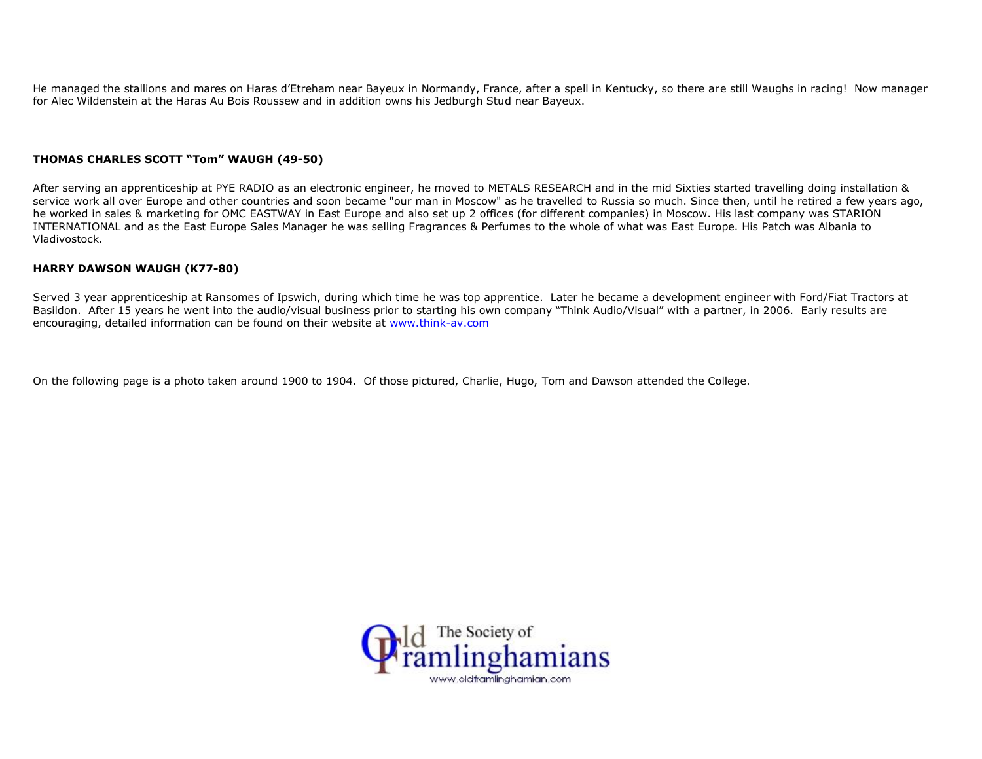He managed the stallions and mares on Haras d'Etreham near Bayeux in Normandy, France, after a spell in Kentucky, so there are still Waughs in racing! Now manager for Alec Wildenstein at the Haras Au Bois Roussew and in addition owns his Jedburgh Stud near Bayeux.

## **THOMAS CHARLES SCOTT "Tom" WAUGH (49-50)**

After serving an apprenticeship at PYE RADIO as an electronic engineer, he moved to METALS RESEARCH and in the mid Sixties started travelling doing installation & service work all over Europe and other countries and soon became "our man in Moscow" as he travelled to Russia so much. Since then, until he retired a few years ago, he worked in sales & marketing for OMC EASTWAY in East Europe and also set up 2 offices (for different companies) in Moscow. His last company was STARION INTERNATIONAL and as the East Europe Sales Manager he was selling Fragrances & Perfumes to the whole of what was East Europe. His Patch was Albania to Vladivostock.

## **HARRY DAWSON WAUGH (K77-80)**

Served 3 year apprenticeship at Ransomes of Ipswich, during which time he was top apprentice. Later he became a development engineer with Ford/Fiat Tractors at Basildon. After 15 years he went into the audio/visual business prior to starting his own company "Think Audio/Visual" with a partner, in 2006. Early results are encouraging, detailed information can be found on their website at www.think-av.com

On the following page is a photo taken around 1900 to 1904. Of those pictured, Charlie, Hugo, Tom and Dawson attended the College.